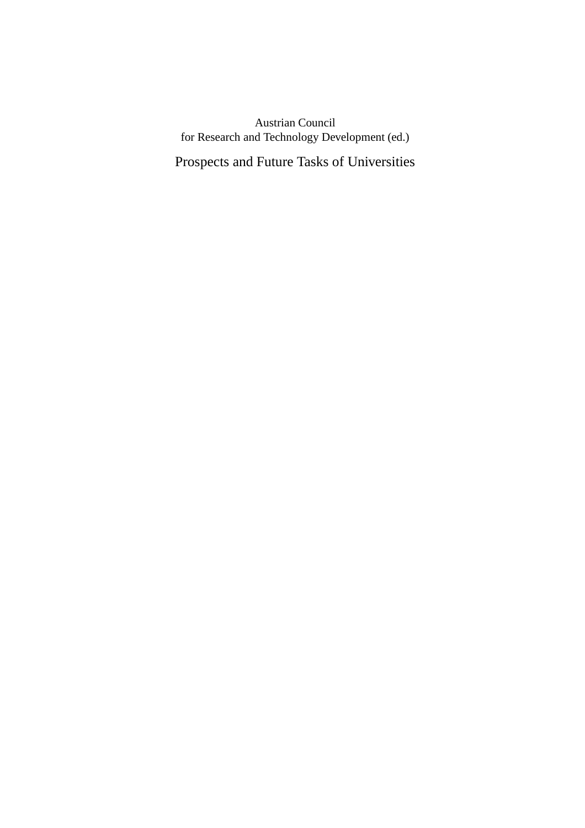# Austrian Council for Research and Technology Development (ed.)

Prospects and Future Tasks of Universities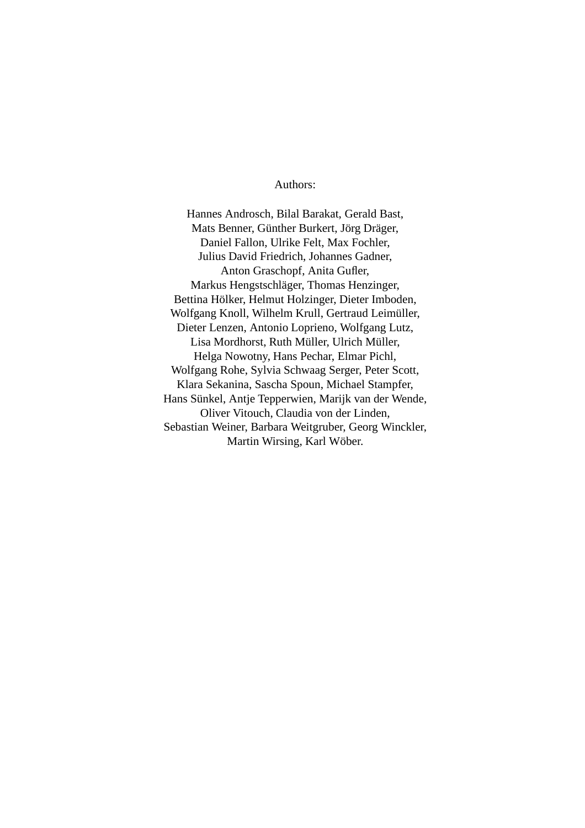# Authors:

Hannes Androsch, Bilal Barakat, Gerald Bast, Mats Benner, Günther Burkert, Jörg Dräger, Daniel Fallon, Ulrike Felt, Max Fochler, Julius David Friedrich, Johannes Gadner, Anton Graschopf, Anita Gufler, Markus Hengstschläger, Thomas Henzinger, Bettina Hölker, Helmut Holzinger, Dieter Imboden, Wolfgang Knoll, Wilhelm Krull, Gertraud Leimüller, Dieter Lenzen, Antonio Loprieno, Wolfgang Lutz, Lisa Mordhorst, Ruth Müller, Ulrich Müller, Helga Nowotny, Hans Pechar, Elmar Pichl, Wolfgang Rohe, Sylvia Schwaag Serger, Peter Scott, Klara Sekanina, Sascha Spoun, Michael Stampfer, Hans Sünkel, Antje Tepperwien, Marijk van der Wende, Oliver Vitouch, Claudia von der Linden, Sebastian Weiner, Barbara Weitgruber, Georg Winckler, Martin Wirsing, Karl Wöber.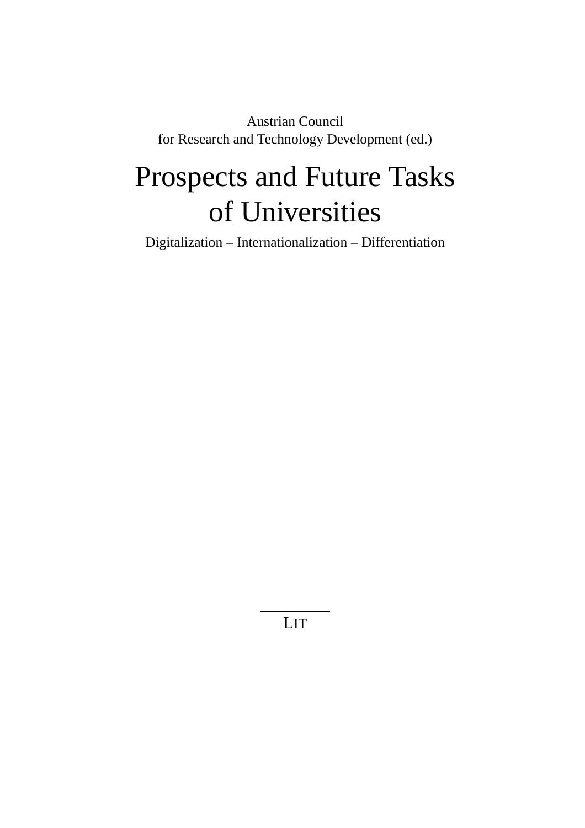Austrian Council for Research and Technology Development (ed.)

# Prospects and Future Tasks of Universities

Digitalization – Internationalization – Differentiation

LIT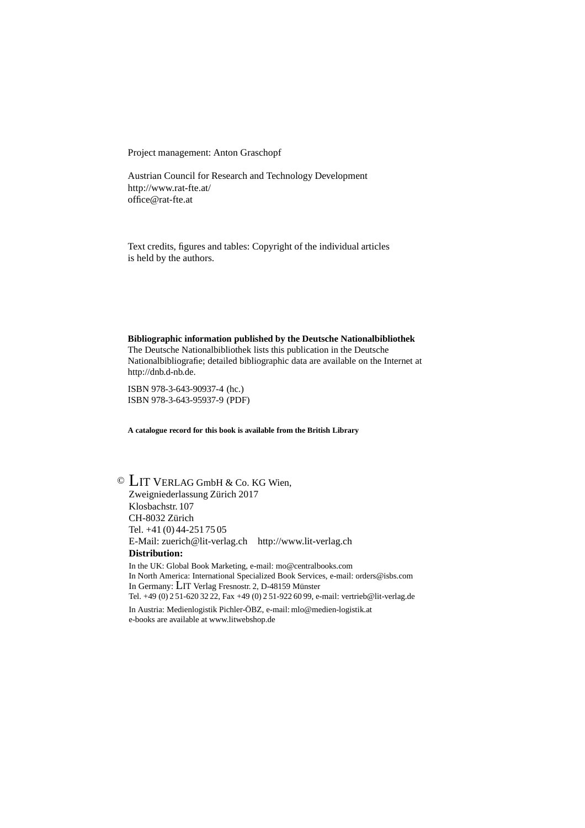Project management: Anton Graschopf

Austrian Council for Research and Technology Development http://www.rat-fte.at/ office@rat-fte.at

Text credits, figures and tables: Copyright of the individual articles is held by the authors.

**Bibliographic information published by the Deutsche Nationalbibliothek** The Deutsche Nationalbibliothek lists this publication in the Deutsche Nationalbibliografie; detailed bibliographic data are available on the Internet at http://dnb.d-nb.de.

ISBN 978-3-643-90937-4 (hc.) ISBN 978-3-643-95937-9 (PDF)

**A catalogue record for this book is available from the British Library**

© LIT VERLAG GmbH & Co. KG Wien, Zweigniederlassung Zürich 2017 Klosbachstr. 107 CH-8032 Zürich Tel. +41 (0) 44-251 75 05 E-Mail: zuerich@lit-verlag.ch http://www.lit-verlag.ch **Distribution:** In the UK: Global Book Marketing, e-mail: mo@centralbooks.com

In North America: International Specialized Book Services, e-mail: orders@isbs.com In Germany: LIT Verlag Fresnostr. 2, D-48159 Münster Tel. +49 (0) 2 51-620 32 22, Fax +49 (0) 2 51-922 60 99, e-mail: vertrieb@lit-verlag.de

In Austria: Medienlogistik Pichler-ÖBZ, e-mail: mlo@medien-logistik.at e-books are available at www.litwebshop.de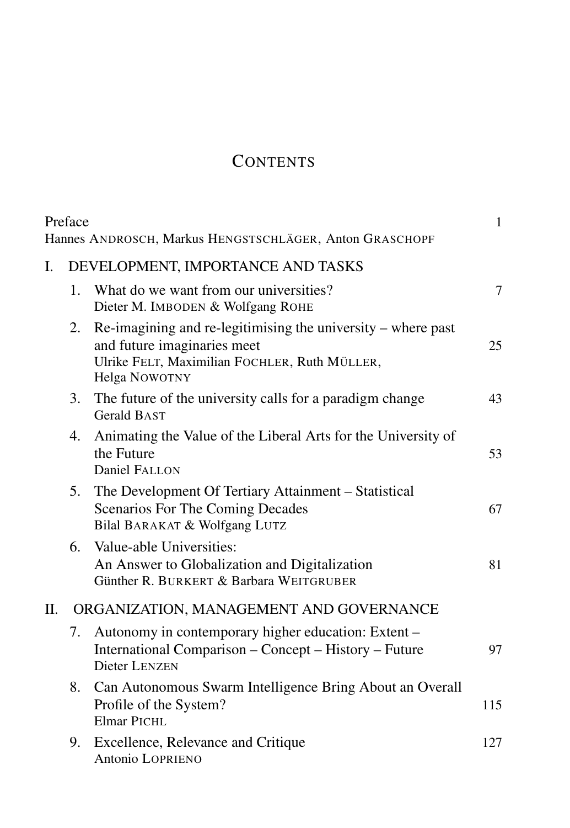# **CONTENTS**

|                | Preface                           | Hannes ANDROSCH, Markus HENGSTSCHLÄGER, Anton GRASCHOPF                                                                                                                   | $\mathbf{1}$ |  |  |
|----------------|-----------------------------------|---------------------------------------------------------------------------------------------------------------------------------------------------------------------------|--------------|--|--|
| $\mathbf{I}$ . | DEVELOPMENT, IMPORTANCE AND TASKS |                                                                                                                                                                           |              |  |  |
|                | $\mathbf{1}_{\cdot}$              | What do we want from our universities?<br>Dieter M. IMBODEN & Wolfgang ROHE                                                                                               |              |  |  |
|                | 2.                                | $\mathbb{R}$ e-imagining and re-legitimising the university – where past<br>and future imaginaries meet<br>Ulrike FELT, Maximilian FOCHLER, Ruth MÜLLER,<br>Helga NOWOTNY | 25           |  |  |
|                | 3.                                | The future of the university calls for a paradigm change<br><b>Gerald BAST</b>                                                                                            | 43           |  |  |
|                | 4.                                | Animating the Value of the Liberal Arts for the University of<br>the Future<br><b>Daniel FALLON</b>                                                                       | 53           |  |  |
|                | 5.                                | The Development Of Tertiary Attainment – Statistical<br><b>Scenarios For The Coming Decades</b><br>Bilal BARAKAT & Wolfgang LUTZ                                          | 67           |  |  |
|                | 6.                                | Value-able Universities:<br>An Answer to Globalization and Digitalization<br>Günther R. BURKERT & Barbara WEITGRUBER                                                      | 81           |  |  |
| II.            |                                   | ORGANIZATION, MANAGEMENT AND GOVERNANCE                                                                                                                                   |              |  |  |
|                | 7.                                | Autonomy in contemporary higher education: Extent –<br>International Comparison – Concept – History – Future<br><b>Dieter LENZEN</b>                                      | 97           |  |  |
|                | 8.                                | Can Autonomous Swarm Intelligence Bring About an Overall<br>Profile of the System?<br><b>Elmar PICHL</b>                                                                  | 115          |  |  |
|                | 9.                                | Excellence, Relevance and Critique<br>Antonio LOPRIENO                                                                                                                    | 127          |  |  |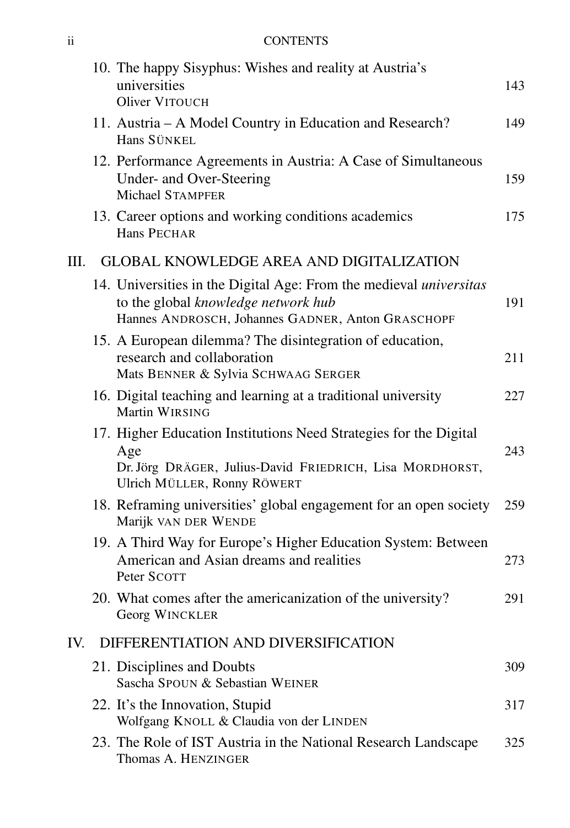# ii CONTENTS

|     | 10. The happy Sisyphus: Wishes and reality at Austria's<br>universities<br>Oliver VITOUCH                                                                             | 143 |
|-----|-----------------------------------------------------------------------------------------------------------------------------------------------------------------------|-----|
|     | 11. Austria – A Model Country in Education and Research?<br>Hans SÜNKEL                                                                                               | 149 |
|     | 12. Performance Agreements in Austria: A Case of Simultaneous<br>Under- and Over-Steering<br>Michael STAMPFER                                                         | 159 |
|     | 13. Career options and working conditions academics<br><b>Hans PECHAR</b>                                                                                             | 175 |
| Ш.  | <b>GLOBAL KNOWLEDGE AREA AND DIGITALIZATION</b>                                                                                                                       |     |
|     | 14. Universities in the Digital Age: From the medieval <i>universitas</i><br>to the global knowledge network hub<br>Hannes ANDROSCH, Johannes GADNER, Anton GRASCHOPF | 191 |
|     | 15. A European dilemma? The disintegration of education,<br>research and collaboration<br>Mats BENNER & Sylvia SCHWAAG SERGER                                         | 211 |
|     | 16. Digital teaching and learning at a traditional university<br>Martin WIRSING                                                                                       | 227 |
|     | 17. Higher Education Institutions Need Strategies for the Digital<br>Age<br>Dr. Jörg DRÄGER, Julius-David FRIEDRICH, Lisa MORDHORST,<br>Ulrich MÜLLER, Ronny RÖWERT   | 243 |
|     | 18. Reframing universities' global engagement for an open society<br>Marijk VAN DER WENDE                                                                             | 259 |
|     | 19. A Third Way for Europe's Higher Education System: Between<br>American and Asian dreams and realities<br>Peter SCOTT                                               | 273 |
|     | 20. What comes after the americanization of the university?<br>Georg WINCKLER                                                                                         | 291 |
| IV. | DIFFERENTIATION AND DIVERSIFICATION                                                                                                                                   |     |
|     | 21. Disciplines and Doubts<br>Sascha SPOUN & Sebastian WEINER                                                                                                         | 309 |
|     | 22. It's the Innovation, Stupid<br>Wolfgang KNOLL & Claudia von der LINDEN                                                                                            | 317 |
|     | 23. The Role of IST Austria in the National Research Landscape<br>Thomas A. HENZINGER                                                                                 | 325 |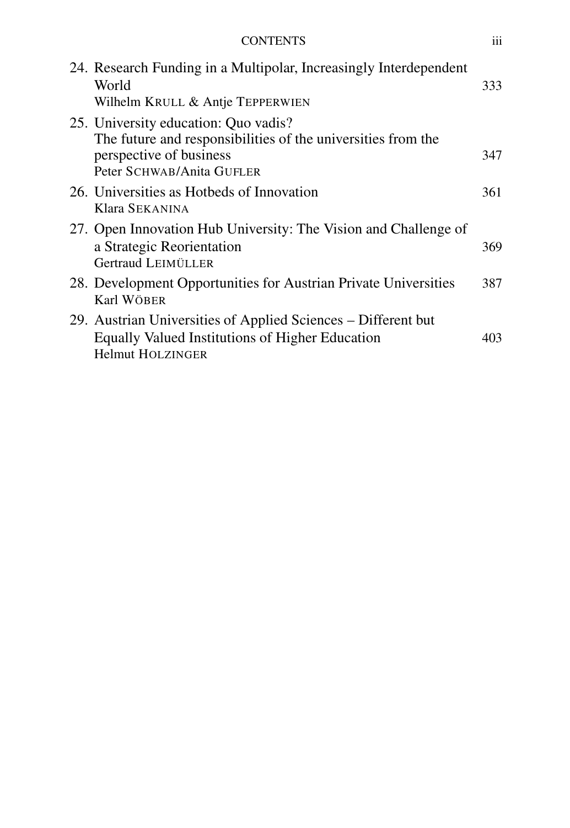| <b>CONTENTS</b>                                                                                                                                              | iii |
|--------------------------------------------------------------------------------------------------------------------------------------------------------------|-----|
| 24. Research Funding in a Multipolar, Increasingly Interdependent<br>World<br>Wilhelm KRULL & Antje TEPPERWIEN                                               | 333 |
| 25. University education: Quo vadis?<br>The future and responsibilities of the universities from the<br>perspective of business<br>Peter SCHWAB/Anita GUFLER | 347 |
| 26. Universities as Hotbeds of Innovation<br>Klara SEKANINA                                                                                                  | 361 |
| 27. Open Innovation Hub University: The Vision and Challenge of<br>a Strategic Reorientation<br>Gertraud LEIMÜLLER                                           | 369 |
| 28. Development Opportunities for Austrian Private Universities<br>Karl WÖBER                                                                                | 387 |
| 29. Austrian Universities of Applied Sciences – Different but<br>Equally Valued Institutions of Higher Education<br><b>Helmut HOLZINGER</b>                  | 403 |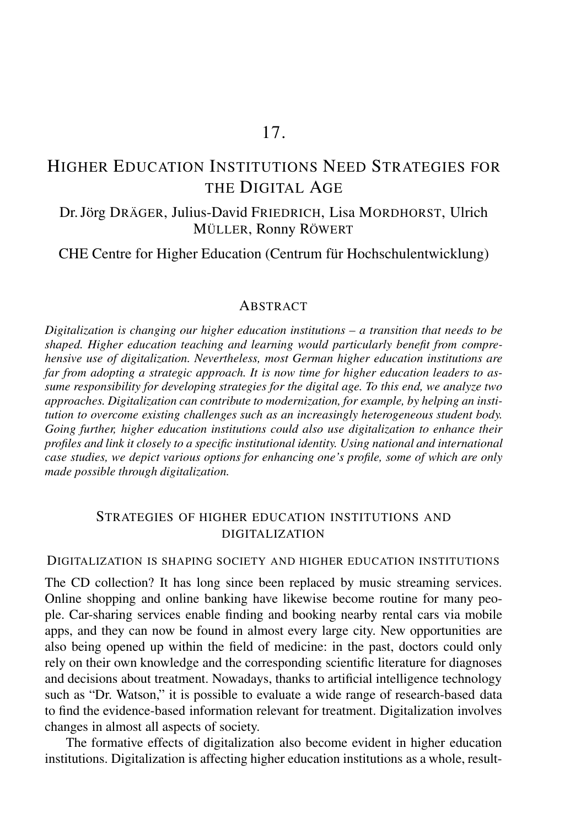# 17.

# HIGHER EDUCATION INSTITUTIONS NEED STRATEGIES FOR THE DIGITAL AGE

# Dr. Jörg DRÄGER, Julius-David FRIEDRICH, Lisa MORDHORST, Ulrich MÜLLER, Ronny RÖWERT

CHE Centre for Higher Education (Centrum für Hochschulentwicklung)

## ABSTRACT

*Digitalization is changing our higher education institutions – a transition that needs to be shaped. Higher education teaching and learning would particularly benefit from comprehensive use of digitalization. Nevertheless, most German higher education institutions are far from adopting a strategic approach. It is now time for higher education leaders to assume responsibility for developing strategies for the digital age. To this end, we analyze two approaches. Digitalization can contribute to modernization, for example, by helping an institution to overcome existing challenges such as an increasingly heterogeneous student body. Going further, higher education institutions could also use digitalization to enhance their profiles and link it closely to a specific institutional identity. Using national and international case studies, we depict various options for enhancing one's profile, some of which are only made possible through digitalization.*

# STRATEGIES OF HIGHER EDUCATION INSTITUTIONS AND DIGITALIZATION

#### DIGITALIZATION IS SHAPING SOCIETY AND HIGHER EDUCATION INSTITUTIONS

The CD collection? It has long since been replaced by music streaming services. Online shopping and online banking have likewise become routine for many people. Car-sharing services enable finding and booking nearby rental cars via mobile apps, and they can now be found in almost every large city. New opportunities are also being opened up within the field of medicine: in the past, doctors could only rely on their own knowledge and the corresponding scientific literature for diagnoses and decisions about treatment. Nowadays, thanks to artificial intelligence technology such as "Dr. Watson," it is possible to evaluate a wide range of research-based data to find the evidence-based information relevant for treatment. Digitalization involves changes in almost all aspects of society.

The formative effects of digitalization also become evident in higher education institutions. Digitalization is affecting higher education institutions as a whole, result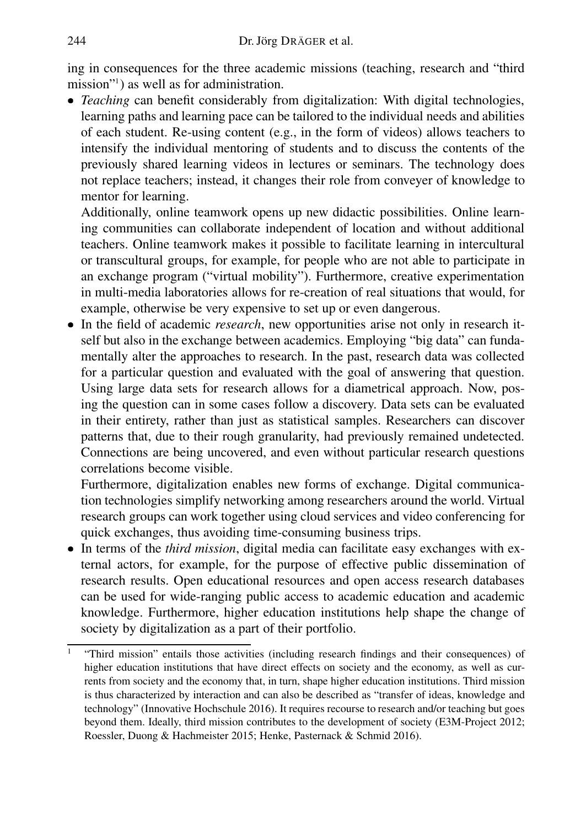ing in consequences for the three academic missions (teaching, research and "third mission"<sup>1</sup> ) as well as for administration.

 *Teaching* can benefit considerably from digitalization: With digital technologies, learning paths and learning pace can be tailored to the individual needs and abilities of each student. Re-using content (e.g., in the form of videos) allows teachers to intensify the individual mentoring of students and to discuss the contents of the previously shared learning videos in lectures or seminars. The technology does not replace teachers; instead, it changes their role from conveyer of knowledge to mentor for learning.

Additionally, online teamwork opens up new didactic possibilities. Online learning communities can collaborate independent of location and without additional teachers. Online teamwork makes it possible to facilitate learning in intercultural or transcultural groups, for example, for people who are not able to participate in an exchange program ("virtual mobility"). Furthermore, creative experimentation in multi-media laboratories allows for re-creation of real situations that would, for example, otherwise be very expensive to set up or even dangerous.

 In the field of academic *research*, new opportunities arise not only in research itself but also in the exchange between academics. Employing "big data" can fundamentally alter the approaches to research. In the past, research data was collected for a particular question and evaluated with the goal of answering that question. Using large data sets for research allows for a diametrical approach. Now, posing the question can in some cases follow a discovery. Data sets can be evaluated in their entirety, rather than just as statistical samples. Researchers can discover patterns that, due to their rough granularity, had previously remained undetected. Connections are being uncovered, and even without particular research questions correlations become visible.

Furthermore, digitalization enables new forms of exchange. Digital communication technologies simplify networking among researchers around the world. Virtual research groups can work together using cloud services and video conferencing for quick exchanges, thus avoiding time-consuming business trips.

 In terms of the *third mission*, digital media can facilitate easy exchanges with external actors, for example, for the purpose of effective public dissemination of research results. Open educational resources and open access research databases can be used for wide-ranging public access to academic education and academic knowledge. Furthermore, higher education institutions help shape the change of society by digitalization as a part of their portfolio.

<sup>1</sup> "Third mission" entails those activities (including research findings and their consequences) of higher education institutions that have direct effects on society and the economy, as well as currents from society and the economy that, in turn, shape higher education institutions. Third mission is thus characterized by interaction and can also be described as "transfer of ideas, knowledge and technology" (Innovative Hochschule 2016). It requires recourse to research and/or teaching but goes beyond them. Ideally, third mission contributes to the development of society (E3M-Project 2012; Roessler, Duong & Hachmeister 2015; Henke, Pasternack & Schmid 2016).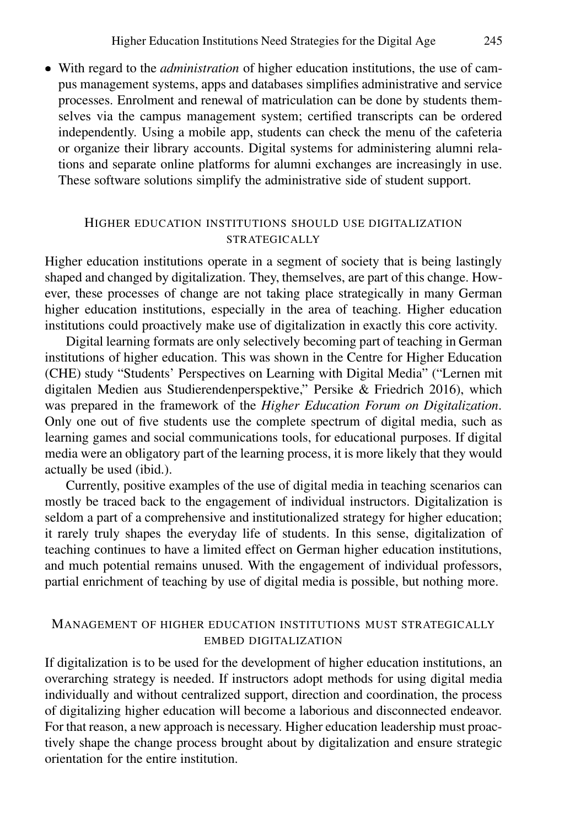With regard to the *administration* of higher education institutions, the use of campus management systems, apps and databases simplifies administrative and service processes. Enrolment and renewal of matriculation can be done by students themselves via the campus management system; certified transcripts can be ordered independently. Using a mobile app, students can check the menu of the cafeteria or organize their library accounts. Digital systems for administering alumni relations and separate online platforms for alumni exchanges are increasingly in use. These software solutions simplify the administrative side of student support.

# HIGHER EDUCATION INSTITUTIONS SHOULD USE DIGITALIZATION STRATEGICALLY

Higher education institutions operate in a segment of society that is being lastingly shaped and changed by digitalization. They, themselves, are part of this change. However, these processes of change are not taking place strategically in many German higher education institutions, especially in the area of teaching. Higher education institutions could proactively make use of digitalization in exactly this core activity.

Digital learning formats are only selectively becoming part of teaching in German institutions of higher education. This was shown in the Centre for Higher Education (CHE) study "Students' Perspectives on Learning with Digital Media" ("Lernen mit digitalen Medien aus Studierendenperspektive," Persike & Friedrich 2016), which was prepared in the framework of the *Higher Education Forum on Digitalization*. Only one out of five students use the complete spectrum of digital media, such as learning games and social communications tools, for educational purposes. If digital media were an obligatory part of the learning process, it is more likely that they would actually be used (ibid.).

Currently, positive examples of the use of digital media in teaching scenarios can mostly be traced back to the engagement of individual instructors. Digitalization is seldom a part of a comprehensive and institutionalized strategy for higher education; it rarely truly shapes the everyday life of students. In this sense, digitalization of teaching continues to have a limited effect on German higher education institutions, and much potential remains unused. With the engagement of individual professors, partial enrichment of teaching by use of digital media is possible, but nothing more.

# MANAGEMENT OF HIGHER EDUCATION INSTITUTIONS MUST STRATEGICALLY EMBED DIGITALIZATION

If digitalization is to be used for the development of higher education institutions, an overarching strategy is needed. If instructors adopt methods for using digital media individually and without centralized support, direction and coordination, the process of digitalizing higher education will become a laborious and disconnected endeavor. For that reason, a new approach is necessary. Higher education leadership must proactively shape the change process brought about by digitalization and ensure strategic orientation for the entire institution.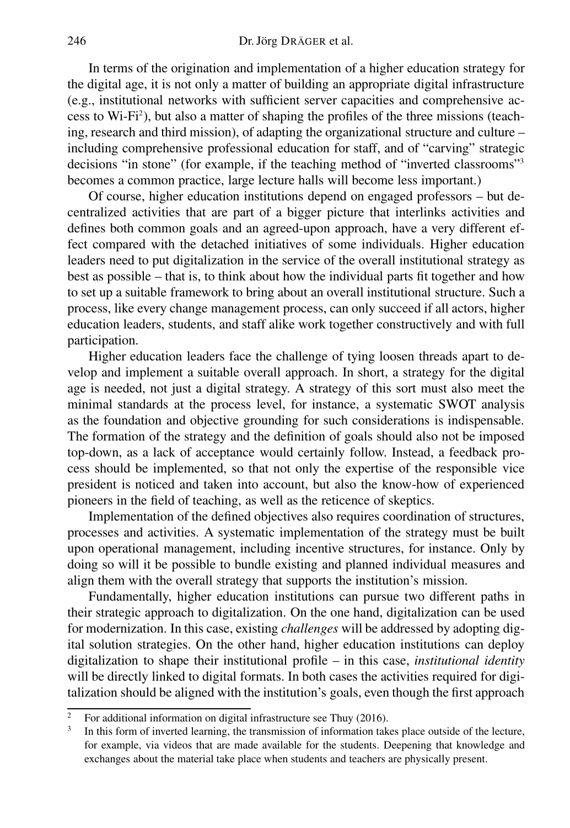In terms of the origination and implementation of a higher education strategy for the digital age, it is not only a matter of building an appropriate digital infrastructure (e.g., institutional networks with sufficient server capacities and comprehensive access to Wi-Fi<sup>2</sup> ), but also a matter of shaping the profiles of the three missions (teaching, research and third mission), of adapting the organizational structure and culture – including comprehensive professional education for staff, and of "carving" strategic decisions "in stone" (for example, if the teaching method of "inverted classrooms"<sup>3</sup> becomes a common practice, large lecture halls will become less important.)

Of course, higher education institutions depend on engaged professors – but decentralized activities that are part of a bigger picture that interlinks activities and defines both common goals and an agreed-upon approach, have a very different effect compared with the detached initiatives of some individuals. Higher education leaders need to put digitalization in the service of the overall institutional strategy as best as possible – that is, to think about how the individual parts fit together and how to set up a suitable framework to bring about an overall institutional structure. Such a process, like every change management process, can only succeed if all actors, higher education leaders, students, and staff alike work together constructively and with full participation.

Higher education leaders face the challenge of tying loosen threads apart to develop and implement a suitable overall approach. In short, a strategy for the digital age is needed, not just a digital strategy. A strategy of this sort must also meet the minimal standards at the process level, for instance, a systematic SWOT analysis as the foundation and objective grounding for such considerations is indispensable. The formation of the strategy and the definition of goals should also not be imposed top-down, as a lack of acceptance would certainly follow. Instead, a feedback process should be implemented, so that not only the expertise of the responsible vice president is noticed and taken into account, but also the know-how of experienced pioneers in the field of teaching, as well as the reticence of skeptics.

Implementation of the defined objectives also requires coordination of structures, processes and activities. A systematic implementation of the strategy must be built upon operational management, including incentive structures, for instance. Only by doing so will it be possible to bundle existing and planned individual measures and align them with the overall strategy that supports the institution's mission.

Fundamentally, higher education institutions can pursue two different paths in their strategic approach to digitalization. On the one hand, digitalization can be used for modernization. In this case, existing *challenges* will be addressed by adopting digital solution strategies. On the other hand, higher education institutions can deploy digitalization to shape their institutional profile – in this case, *institutional identity* will be directly linked to digital formats. In both cases the activities required for digitalization should be aligned with the institution's goals, even though the first approach

<sup>2</sup> For additional information on digital infrastructure see Thuy (2016).

<sup>3</sup> In this form of inverted learning, the transmission of information takes place outside of the lecture, for example, via videos that are made available for the students. Deepening that knowledge and exchanges about the material take place when students and teachers are physically present.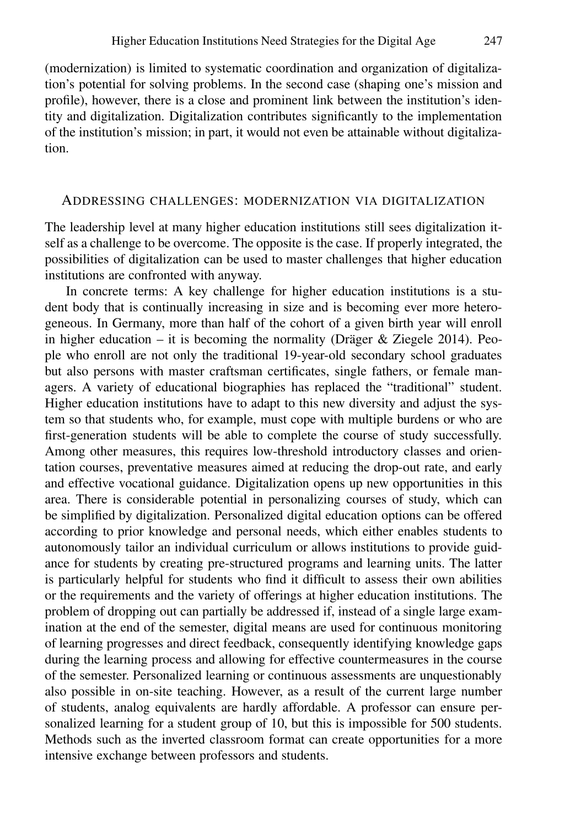(modernization) is limited to systematic coordination and organization of digitalization's potential for solving problems. In the second case (shaping one's mission and profile), however, there is a close and prominent link between the institution's identity and digitalization. Digitalization contributes significantly to the implementation of the institution's mission; in part, it would not even be attainable without digitalization.

## ADDRESSING CHALLENGES: MODERNIZATION VIA DIGITALIZATION

The leadership level at many higher education institutions still sees digitalization itself as a challenge to be overcome. The opposite is the case. If properly integrated, the possibilities of digitalization can be used to master challenges that higher education institutions are confronted with anyway.

In concrete terms: A key challenge for higher education institutions is a student body that is continually increasing in size and is becoming ever more heterogeneous. In Germany, more than half of the cohort of a given birth year will enroll in higher education – it is becoming the normality (Dräger  $\&$  Ziegele 2014). People who enroll are not only the traditional 19-year-old secondary school graduates but also persons with master craftsman certificates, single fathers, or female managers. A variety of educational biographies has replaced the "traditional" student. Higher education institutions have to adapt to this new diversity and adjust the system so that students who, for example, must cope with multiple burdens or who are first-generation students will be able to complete the course of study successfully. Among other measures, this requires low-threshold introductory classes and orientation courses, preventative measures aimed at reducing the drop-out rate, and early and effective vocational guidance. Digitalization opens up new opportunities in this area. There is considerable potential in personalizing courses of study, which can be simplified by digitalization. Personalized digital education options can be offered according to prior knowledge and personal needs, which either enables students to autonomously tailor an individual curriculum or allows institutions to provide guidance for students by creating pre-structured programs and learning units. The latter is particularly helpful for students who find it difficult to assess their own abilities or the requirements and the variety of offerings at higher education institutions. The problem of dropping out can partially be addressed if, instead of a single large examination at the end of the semester, digital means are used for continuous monitoring of learning progresses and direct feedback, consequently identifying knowledge gaps during the learning process and allowing for effective countermeasures in the course of the semester. Personalized learning or continuous assessments are unquestionably also possible in on-site teaching. However, as a result of the current large number of students, analog equivalents are hardly affordable. A professor can ensure personalized learning for a student group of 10, but this is impossible for 500 students. Methods such as the inverted classroom format can create opportunities for a more intensive exchange between professors and students.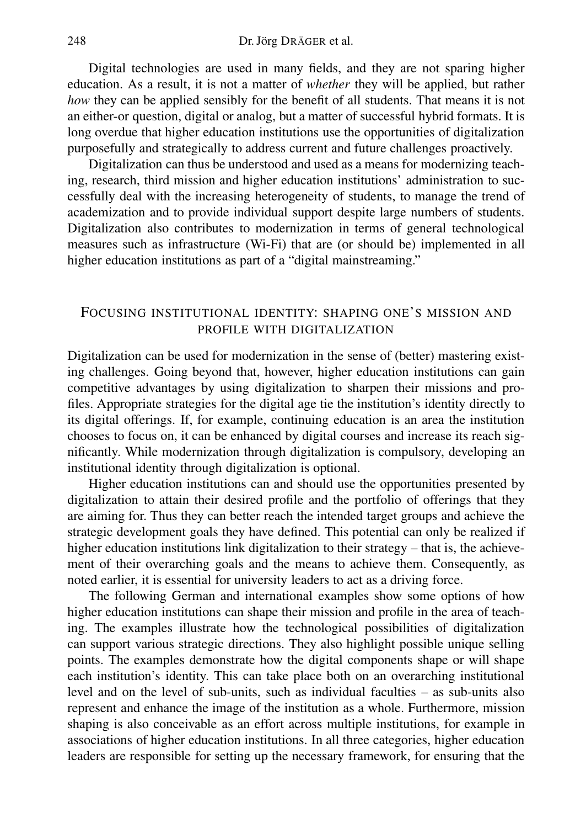Digital technologies are used in many fields, and they are not sparing higher education. As a result, it is not a matter of *whether* they will be applied, but rather *how* they can be applied sensibly for the benefit of all students. That means it is not an either-or question, digital or analog, but a matter of successful hybrid formats. It is long overdue that higher education institutions use the opportunities of digitalization purposefully and strategically to address current and future challenges proactively.

Digitalization can thus be understood and used as a means for modernizing teaching, research, third mission and higher education institutions' administration to successfully deal with the increasing heterogeneity of students, to manage the trend of academization and to provide individual support despite large numbers of students. Digitalization also contributes to modernization in terms of general technological measures such as infrastructure (Wi-Fi) that are (or should be) implemented in all higher education institutions as part of a "digital mainstreaming."

# FOCUSING INSTITUTIONAL IDENTITY: SHAPING ONE'S MISSION AND PROFILE WITH DIGITALIZATION

Digitalization can be used for modernization in the sense of (better) mastering existing challenges. Going beyond that, however, higher education institutions can gain competitive advantages by using digitalization to sharpen their missions and profiles. Appropriate strategies for the digital age tie the institution's identity directly to its digital offerings. If, for example, continuing education is an area the institution chooses to focus on, it can be enhanced by digital courses and increase its reach significantly. While modernization through digitalization is compulsory, developing an institutional identity through digitalization is optional.

Higher education institutions can and should use the opportunities presented by digitalization to attain their desired profile and the portfolio of offerings that they are aiming for. Thus they can better reach the intended target groups and achieve the strategic development goals they have defined. This potential can only be realized if higher education institutions link digitalization to their strategy – that is, the achievement of their overarching goals and the means to achieve them. Consequently, as noted earlier, it is essential for university leaders to act as a driving force.

The following German and international examples show some options of how higher education institutions can shape their mission and profile in the area of teaching. The examples illustrate how the technological possibilities of digitalization can support various strategic directions. They also highlight possible unique selling points. The examples demonstrate how the digital components shape or will shape each institution's identity. This can take place both on an overarching institutional level and on the level of sub-units, such as individual faculties – as sub-units also represent and enhance the image of the institution as a whole. Furthermore, mission shaping is also conceivable as an effort across multiple institutions, for example in associations of higher education institutions. In all three categories, higher education leaders are responsible for setting up the necessary framework, for ensuring that the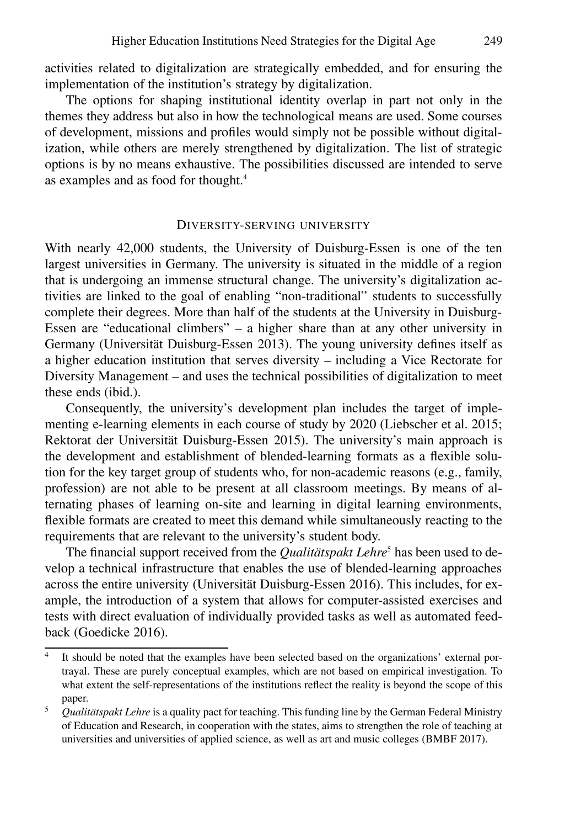activities related to digitalization are strategically embedded, and for ensuring the implementation of the institution's strategy by digitalization.

The options for shaping institutional identity overlap in part not only in the themes they address but also in how the technological means are used. Some courses of development, missions and profiles would simply not be possible without digitalization, while others are merely strengthened by digitalization. The list of strategic options is by no means exhaustive. The possibilities discussed are intended to serve as examples and as food for thought.<sup>4</sup>

# DIVERSITY-SERVING UNIVERSITY

With nearly 42,000 students, the University of Duisburg-Essen is one of the ten largest universities in Germany. The university is situated in the middle of a region that is undergoing an immense structural change. The university's digitalization activities are linked to the goal of enabling "non-traditional" students to successfully complete their degrees. More than half of the students at the University in Duisburg-Essen are "educational climbers" – a higher share than at any other university in Germany (Universität Duisburg-Essen 2013). The young university defines itself as a higher education institution that serves diversity – including a Vice Rectorate for Diversity Management – and uses the technical possibilities of digitalization to meet these ends (ibid.).

Consequently, the university's development plan includes the target of implementing e-learning elements in each course of study by 2020 (Liebscher et al. 2015; Rektorat der Universität Duisburg-Essen 2015). The university's main approach is the development and establishment of blended-learning formats as a flexible solution for the key target group of students who, for non-academic reasons (e.g., family, profession) are not able to be present at all classroom meetings. By means of alternating phases of learning on-site and learning in digital learning environments, flexible formats are created to meet this demand while simultaneously reacting to the requirements that are relevant to the university's student body.

The financial support received from the *Qualitätspakt Lehre<sup>5</sup>* has been used to develop a technical infrastructure that enables the use of blended-learning approaches across the entire university (Universität Duisburg-Essen 2016). This includes, for example, the introduction of a system that allows for computer-assisted exercises and tests with direct evaluation of individually provided tasks as well as automated feedback (Goedicke 2016).

<sup>4</sup> It should be noted that the examples have been selected based on the organizations' external portrayal. These are purely conceptual examples, which are not based on empirical investigation. To what extent the self-representations of the institutions reflect the reality is beyond the scope of this paper.

<sup>&</sup>lt;sup>5</sup> Qualitätspakt Lehre is a quality pact for teaching. This funding line by the German Federal Ministry of Education and Research, in cooperation with the states, aims to strengthen the role of teaching at universities and universities of applied science, as well as art and music colleges (BMBF 2017).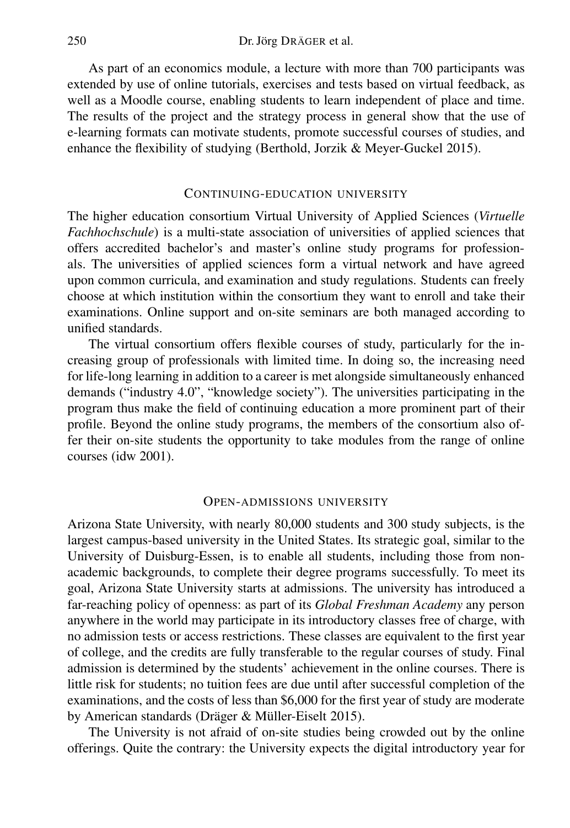As part of an economics module, a lecture with more than 700 participants was extended by use of online tutorials, exercises and tests based on virtual feedback, as well as a Moodle course, enabling students to learn independent of place and time. The results of the project and the strategy process in general show that the use of e-learning formats can motivate students, promote successful courses of studies, and enhance the flexibility of studying (Berthold, Jorzik & Meyer-Guckel 2015).

#### CONTINUING-EDUCATION UNIVERSITY

The higher education consortium Virtual University of Applied Sciences (*Virtuelle Fachhochschule*) is a multi-state association of universities of applied sciences that offers accredited bachelor's and master's online study programs for professionals. The universities of applied sciences form a virtual network and have agreed upon common curricula, and examination and study regulations. Students can freely choose at which institution within the consortium they want to enroll and take their examinations. Online support and on-site seminars are both managed according to unified standards.

The virtual consortium offers flexible courses of study, particularly for the increasing group of professionals with limited time. In doing so, the increasing need for life-long learning in addition to a career is met alongside simultaneously enhanced demands ("industry 4.0", "knowledge society"). The universities participating in the program thus make the field of continuing education a more prominent part of their profile. Beyond the online study programs, the members of the consortium also offer their on-site students the opportunity to take modules from the range of online courses (idw 2001).

## OPEN-ADMISSIONS UNIVERSITY

Arizona State University, with nearly 80,000 students and 300 study subjects, is the largest campus-based university in the United States. Its strategic goal, similar to the University of Duisburg-Essen, is to enable all students, including those from nonacademic backgrounds, to complete their degree programs successfully. To meet its goal, Arizona State University starts at admissions. The university has introduced a far-reaching policy of openness: as part of its *Global Freshman Academy* any person anywhere in the world may participate in its introductory classes free of charge, with no admission tests or access restrictions. These classes are equivalent to the first year of college, and the credits are fully transferable to the regular courses of study. Final admission is determined by the students' achievement in the online courses. There is little risk for students; no tuition fees are due until after successful completion of the examinations, and the costs of less than \$6,000 for the first year of study are moderate by American standards (Dräger & Müller-Eiselt 2015).

The University is not afraid of on-site studies being crowded out by the online offerings. Quite the contrary: the University expects the digital introductory year for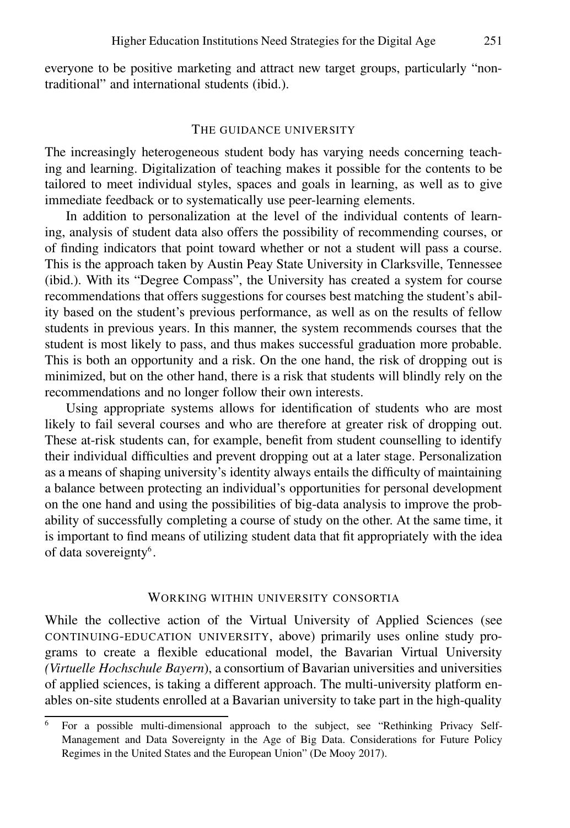everyone to be positive marketing and attract new target groups, particularly "nontraditional" and international students (ibid.).

#### THE GUIDANCE UNIVERSITY

The increasingly heterogeneous student body has varying needs concerning teaching and learning. Digitalization of teaching makes it possible for the contents to be tailored to meet individual styles, spaces and goals in learning, as well as to give immediate feedback or to systematically use peer-learning elements.

In addition to personalization at the level of the individual contents of learning, analysis of student data also offers the possibility of recommending courses, or of finding indicators that point toward whether or not a student will pass a course. This is the approach taken by Austin Peay State University in Clarksville, Tennessee (ibid.). With its "Degree Compass", the University has created a system for course recommendations that offers suggestions for courses best matching the student's ability based on the student's previous performance, as well as on the results of fellow students in previous years. In this manner, the system recommends courses that the student is most likely to pass, and thus makes successful graduation more probable. This is both an opportunity and a risk. On the one hand, the risk of dropping out is minimized, but on the other hand, there is a risk that students will blindly rely on the recommendations and no longer follow their own interests.

Using appropriate systems allows for identification of students who are most likely to fail several courses and who are therefore at greater risk of dropping out. These at-risk students can, for example, benefit from student counselling to identify their individual difficulties and prevent dropping out at a later stage. Personalization as a means of shaping university's identity always entails the difficulty of maintaining a balance between protecting an individual's opportunities for personal development on the one hand and using the possibilities of big-data analysis to improve the probability of successfully completing a course of study on the other. At the same time, it is important to find means of utilizing student data that fit appropriately with the idea of data sovereignty<sup>6</sup>.

#### WORKING WITHIN UNIVERSITY CONSORTIA

While the collective action of the Virtual University of Applied Sciences (see CONTINUING-EDUCATION UNIVERSITY, above) primarily uses online study programs to create a flexible educational model, the Bavarian Virtual University *(Virtuelle Hochschule Bayern*), a consortium of Bavarian universities and universities of applied sciences, is taking a different approach. The multi-university platform enables on-site students enrolled at a Bavarian university to take part in the high-quality

<sup>6</sup> For a possible multi-dimensional approach to the subject, see "Rethinking Privacy Self-Management and Data Sovereignty in the Age of Big Data. Considerations for Future Policy Regimes in the United States and the European Union" (De Mooy 2017).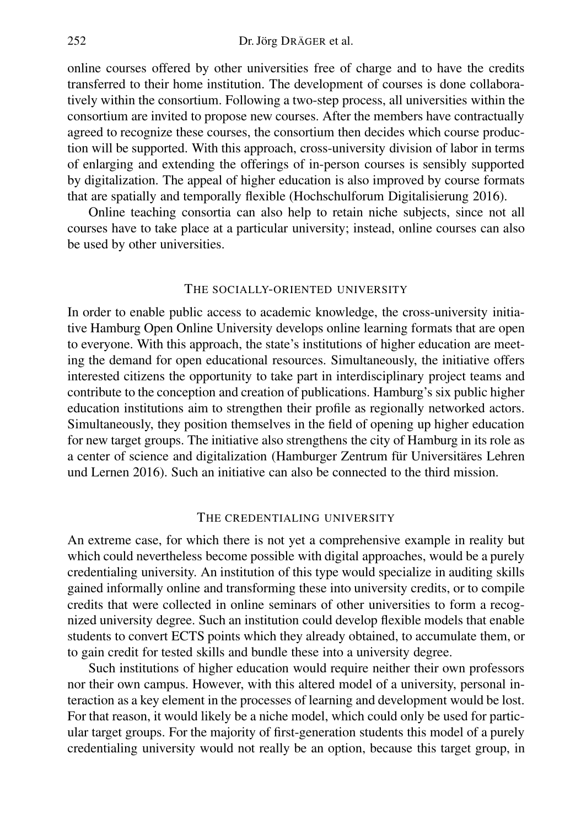online courses offered by other universities free of charge and to have the credits transferred to their home institution. The development of courses is done collaboratively within the consortium. Following a two-step process, all universities within the consortium are invited to propose new courses. After the members have contractually agreed to recognize these courses, the consortium then decides which course production will be supported. With this approach, cross-university division of labor in terms of enlarging and extending the offerings of in-person courses is sensibly supported by digitalization. The appeal of higher education is also improved by course formats that are spatially and temporally flexible (Hochschulforum Digitalisierung 2016).

Online teaching consortia can also help to retain niche subjects, since not all courses have to take place at a particular university; instead, online courses can also be used by other universities.

#### THE SOCIALLY-ORIENTED UNIVERSITY

In order to enable public access to academic knowledge, the cross-university initiative Hamburg Open Online University develops online learning formats that are open to everyone. With this approach, the state's institutions of higher education are meeting the demand for open educational resources. Simultaneously, the initiative offers interested citizens the opportunity to take part in interdisciplinary project teams and contribute to the conception and creation of publications. Hamburg's six public higher education institutions aim to strengthen their profile as regionally networked actors. Simultaneously, they position themselves in the field of opening up higher education for new target groups. The initiative also strengthens the city of Hamburg in its role as a center of science and digitalization (Hamburger Zentrum für Universitäres Lehren und Lernen 2016). Such an initiative can also be connected to the third mission.

#### THE CREDENTIALING UNIVERSITY

An extreme case, for which there is not yet a comprehensive example in reality but which could nevertheless become possible with digital approaches, would be a purely credentialing university. An institution of this type would specialize in auditing skills gained informally online and transforming these into university credits, or to compile credits that were collected in online seminars of other universities to form a recognized university degree. Such an institution could develop flexible models that enable students to convert ECTS points which they already obtained, to accumulate them, or to gain credit for tested skills and bundle these into a university degree.

Such institutions of higher education would require neither their own professors nor their own campus. However, with this altered model of a university, personal interaction as a key element in the processes of learning and development would be lost. For that reason, it would likely be a niche model, which could only be used for particular target groups. For the majority of first-generation students this model of a purely credentialing university would not really be an option, because this target group, in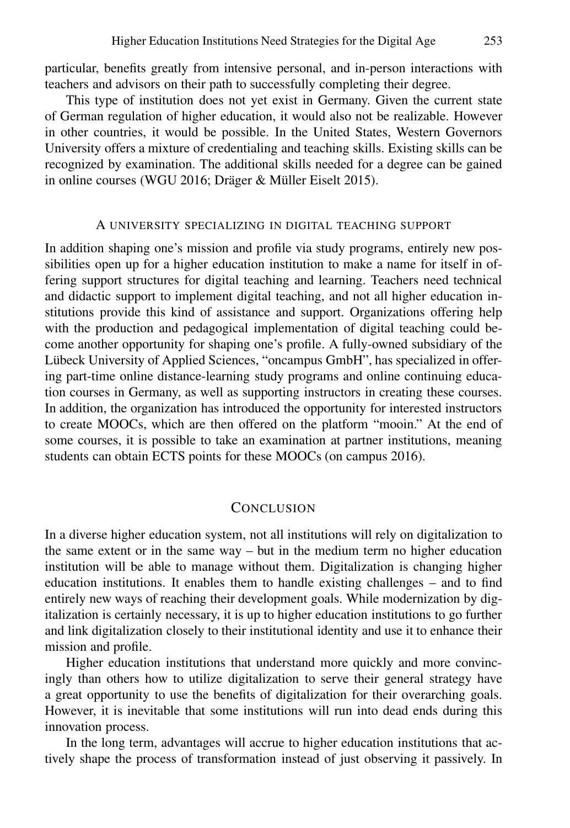particular, benefits greatly from intensive personal, and in-person interactions with teachers and advisors on their path to successfully completing their degree.

This type of institution does not yet exist in Germany. Given the current state of German regulation of higher education, it would also not be realizable. However in other countries, it would be possible. In the United States, Western Governors University offers a mixture of credentialing and teaching skills. Existing skills can be recognized by examination. The additional skills needed for a degree can be gained in online courses (WGU 2016; Dräger & Müller Eiselt 2015).

## A UNIVERSITY SPECIALIZING IN DIGITAL TEACHING SUPPORT

In addition shaping one's mission and profile via study programs, entirely new possibilities open up for a higher education institution to make a name for itself in offering support structures for digital teaching and learning. Teachers need technical and didactic support to implement digital teaching, and not all higher education institutions provide this kind of assistance and support. Organizations offering help with the production and pedagogical implementation of digital teaching could become another opportunity for shaping one's profile. A fully-owned subsidiary of the Lübeck University of Applied Sciences, "oncampus GmbH", has specialized in offering part-time online distance-learning study programs and online continuing education courses in Germany, as well as supporting instructors in creating these courses. In addition, the organization has introduced the opportunity for interested instructors to create MOOCs, which are then offered on the platform "mooin." At the end of some courses, it is possible to take an examination at partner institutions, meaning students can obtain ECTS points for these MOOCs (on campus 2016).

# **CONCLUSION**

In a diverse higher education system, not all institutions will rely on digitalization to the same extent or in the same way – but in the medium term no higher education institution will be able to manage without them. Digitalization is changing higher education institutions. It enables them to handle existing challenges – and to find entirely new ways of reaching their development goals. While modernization by digitalization is certainly necessary, it is up to higher education institutions to go further and link digitalization closely to their institutional identity and use it to enhance their mission and profile.

Higher education institutions that understand more quickly and more convincingly than others how to utilize digitalization to serve their general strategy have a great opportunity to use the benefits of digitalization for their overarching goals. However, it is inevitable that some institutions will run into dead ends during this innovation process.

In the long term, advantages will accrue to higher education institutions that actively shape the process of transformation instead of just observing it passively. In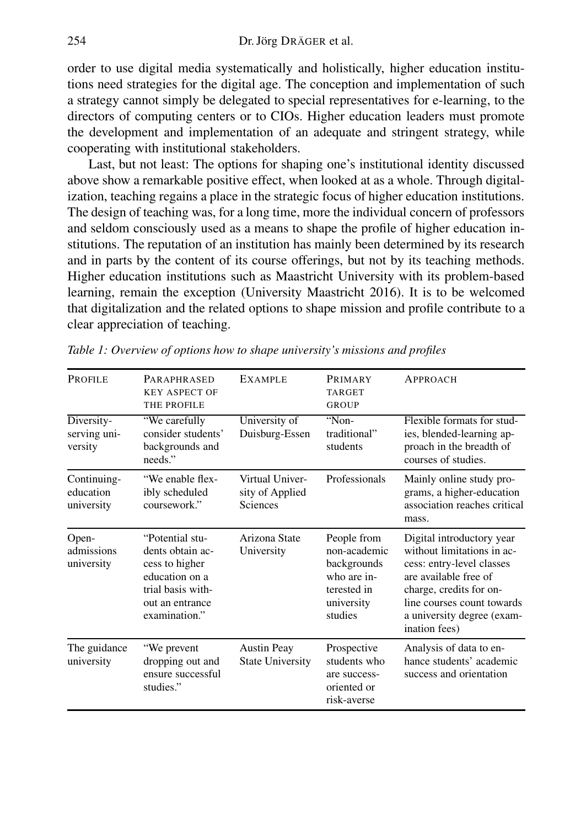order to use digital media systematically and holistically, higher education institutions need strategies for the digital age. The conception and implementation of such a strategy cannot simply be delegated to special representatives for e-learning, to the directors of computing centers or to CIOs. Higher education leaders must promote the development and implementation of an adequate and stringent strategy, while cooperating with institutional stakeholders.

Last, but not least: The options for shaping one's institutional identity discussed above show a remarkable positive effect, when looked at as a whole. Through digitalization, teaching regains a place in the strategic focus of higher education institutions. The design of teaching was, for a long time, more the individual concern of professors and seldom consciously used as a means to shape the profile of higher education institutions. The reputation of an institution has mainly been determined by its research and in parts by the content of its course offerings, but not by its teaching methods. Higher education institutions such as Maastricht University with its problem-based learning, remain the exception (University Maastricht 2016). It is to be welcomed that digitalization and the related options to shape mission and profile contribute to a clear appreciation of teaching.

| <b>PROFILE</b>                         | <b>PARAPHRASED</b><br><b>KEY ASPECT OF</b><br>THE PROFILE                                                                        | <b>EXAMPLE</b>                                 | <b>PRIMARY</b><br><b>TARGET</b><br><b>GROUP</b>                                                   | <b>APPROACH</b>                                                                                                                                                                                                       |
|----------------------------------------|----------------------------------------------------------------------------------------------------------------------------------|------------------------------------------------|---------------------------------------------------------------------------------------------------|-----------------------------------------------------------------------------------------------------------------------------------------------------------------------------------------------------------------------|
| Diversity-<br>serving uni-<br>versity  | "We carefully<br>consider students'<br>backgrounds and<br>needs."                                                                | University of<br>Duisburg-Essen                | "Non-<br>traditional"<br>students                                                                 | Flexible formats for stud-<br>ies, blended-learning ap-<br>proach in the breadth of<br>courses of studies.                                                                                                            |
| Continuing-<br>education<br>university | "We enable flex-<br>ibly scheduled<br>coursework."                                                                               | Virtual Univer-<br>sity of Applied<br>Sciences | Professionals                                                                                     | Mainly online study pro-<br>grams, a higher-education<br>association reaches critical<br>mass.                                                                                                                        |
| Open-<br>admissions<br>university      | "Potential stu-<br>dents obtain ac-<br>cess to higher<br>education on a<br>trial basis with-<br>out an entrance<br>examination." | Arizona State<br>University                    | People from<br>non-academic<br>backgrounds<br>who are in-<br>terested in<br>university<br>studies | Digital introductory year<br>without limitations in ac-<br>cess: entry-level classes<br>are available free of<br>charge, credits for on-<br>line courses count towards<br>a university degree (exam-<br>ination fees) |
| The guidance<br>university             | "We prevent<br>dropping out and<br>ensure successful<br>studies."                                                                | <b>Austin Peay</b><br><b>State University</b>  | Prospective<br>students who<br>are success-<br>oriented or<br>risk-averse                         | Analysis of data to en-<br>hance students' academic<br>success and orientation                                                                                                                                        |

*Table 1: Overview of options how to shape university's missions and profiles*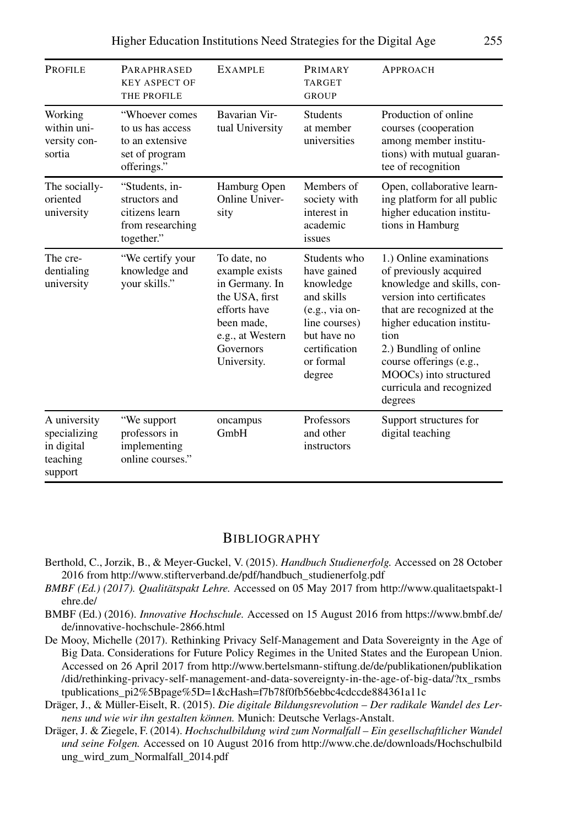| Higher Education Institutions Need Strategies for the Digital Age |  | 255 |
|-------------------------------------------------------------------|--|-----|
|                                                                   |  |     |

| <b>PROFILE</b>                                                    | <b>PARAPHRASED</b><br><b>KEY ASPECT OF</b><br>THE PROFILE                              | <b>EXAMPLE</b>                                                                                                                                  | PRIMARY<br><b>TARGET</b><br><b>GROUP</b>                                                                                                           | <b>APPROACH</b>                                                                                                                                                                                                                                                                                       |
|-------------------------------------------------------------------|----------------------------------------------------------------------------------------|-------------------------------------------------------------------------------------------------------------------------------------------------|----------------------------------------------------------------------------------------------------------------------------------------------------|-------------------------------------------------------------------------------------------------------------------------------------------------------------------------------------------------------------------------------------------------------------------------------------------------------|
| Working<br>within uni-<br>versity con-<br>sortia                  | "Whoever comes<br>to us has access<br>to an extensive<br>set of program<br>offerings." | Bavarian Vir-<br>tual University                                                                                                                | <b>Students</b><br>at member<br>universities                                                                                                       | Production of online<br>courses (cooperation<br>among member institu-<br>tions) with mutual guaran-<br>tee of recognition                                                                                                                                                                             |
| The socially-<br>oriented<br>university                           | "Students, in-<br>structors and<br>citizens learn<br>from researching<br>together."    | Hamburg Open<br>Online Univer-<br>sity                                                                                                          | Members of<br>society with<br>interest in<br>academic<br>issues                                                                                    | Open, collaborative learn-<br>ing platform for all public<br>higher education institu-<br>tions in Hamburg                                                                                                                                                                                            |
| The cre-<br>dentialing<br>university                              | "We certify your<br>knowledge and<br>your skills."                                     | To date, no<br>example exists<br>in Germany. In<br>the USA, first<br>efforts have<br>been made.<br>e.g., at Western<br>Governors<br>University. | Students who<br>have gained<br>knowledge<br>and skills<br>$(e.g., via on-$<br>line courses)<br>but have no<br>certification<br>or formal<br>degree | 1.) Online examinations<br>of previously acquired<br>knowledge and skills, con-<br>version into certificates<br>that are recognized at the<br>higher education institu-<br>tion<br>2.) Bundling of online<br>course offerings (e.g.,<br>MOOCs) into structured<br>curricula and recognized<br>degrees |
| A university<br>specializing<br>in digital<br>teaching<br>support | "We support<br>professors in<br>implementing<br>online courses."                       | oncampus<br>GmbH                                                                                                                                | Professors<br>and other<br>instructors                                                                                                             | Support structures for<br>digital teaching                                                                                                                                                                                                                                                            |

### **BIBLIOGRAPHY**

- Berthold, C., Jorzik, B., & Meyer-Guckel, V. (2015). *Handbuch Studienerfolg.* Accessed on 28 October 2016 from http://www.stifterverband.de/pdf/handbuch\_studienerfolg.pdf
- *BMBF (Ed.) (2017). Qualitätspakt Lehre.* Accessed on 05 May 2017 from http://www.qualitaetspakt-l ehre.de/
- BMBF (Ed.) (2016). *Innovative Hochschule.* Accessed on 15 August 2016 from https://www.bmbf.de/ de/innovative-hochschule-2866.html
- De Mooy, Michelle (2017). Rethinking Privacy Self-Management and Data Sovereignty in the Age of Big Data. Considerations for Future Policy Regimes in the United States and the European Union. Accessed on 26 April 2017 from http://www.bertelsmann-stiftung.de/de/publikationen/publikation /did/rethinking-privacy-self-management-and-data-sovereignty-in-the-age-of-big-data/?tx\_ rsmbs tpublications\_pi2%5Bpage%5D=1&cHash=f7b78f0fb56ebbc4cdccde884361a11c
- Dräger, J., & Müller-Eiselt, R. (2015). *Die digitale Bildungsrevolution Der radikale Wandel des Lernens und wie wir ihn gestalten können.* Munich: Deutsche Verlags-Anstalt.
- Dräger, J. & Ziegele, F. (2014). *Hochschulbildung wird zum Normalfall Ein gesellschaftlicher Wandel und seine Folgen.* Accessed on 10 August 2016 from http://www.che.de/downloads/Hochschulbild ung\_wird\_zum\_Normalfall\_2014.pdf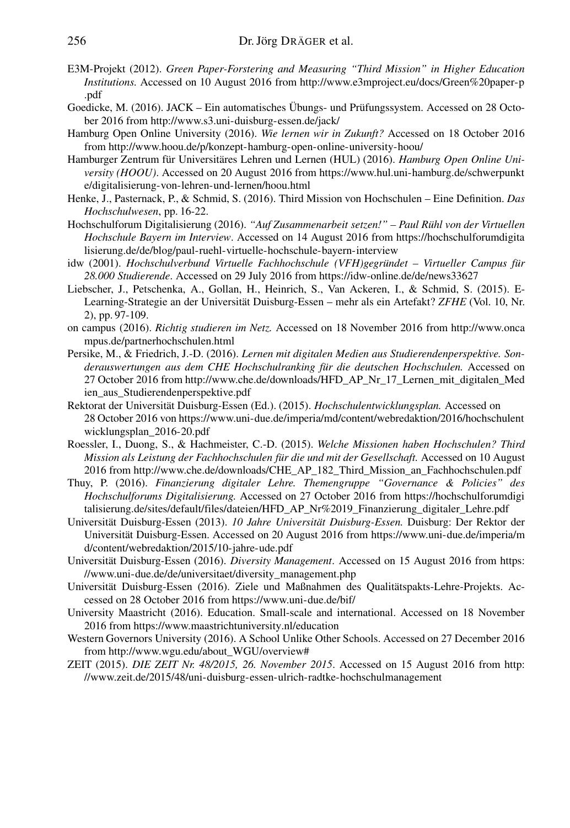- E3M-Projekt (2012). *Green Paper-Forstering and Measuring "Third Mission" in Higher Education Institutions.* Accessed on 10 August 2016 from http://www.e3mproject.eu/docs/Green%20paper-p .pdf
- Goedicke, M. (2016). JACK Ein automatisches Übungs- und Prüfungssystem. Accessed on 28 October 2016 from http://www.s3.uni-duisburg-essen.de/jack/
- Hamburg Open Online University (2016). *Wie lernen wir in Zukunft?* Accessed on 18 October 2016 from http://www.hoou.de/p/konzept-hamburg-open-online-university-hoou/
- Hamburger Zentrum für Universitäres Lehren und Lernen (HUL) (2016). *Hamburg Open Online University (HOOU)*. Accessed on 20 August 2016 from https://www.hul.uni-hamburg.de/schwerpunkt e/digitalisierung-von-lehren-und-lernen/hoou.html
- Henke, J., Pasternack, P., & Schmid, S. (2016). Third Mission von Hochschulen Eine Definition. *Das Hochschulwesen*, pp. 16-22.
- Hochschulforum Digitalisierung (2016). *"Auf Zusammenarbeit setzen!" Paul Rühl von der Virtuellen Hochschule Bayern im Interview*. Accessed on 14 August 2016 from https://hochschulforumdigita lisierung.de/de/blog/paul-ruehl-virtuelle-hochschule-bayern-interview
- idw (2001). *Hochschulverbund Virtuelle Fachhochschule (VFH)gegründet Virtueller Campus für 28.000 Studierende*. Accessed on 29 July 2016 from https://idw-online.de/de/news33627
- Liebscher, J., Petschenka, A., Gollan, H., Heinrich, S., Van Ackeren, I., & Schmid, S. (2015). E-Learning-Strategie an der Universität Duisburg-Essen – mehr als ein Artefakt? *ZFHE* (Vol. 10, Nr. 2), pp. 97-109.
- on campus (2016). *Richtig studieren im Netz.* Accessed on 18 November 2016 from http://www.onca mpus.de/partnerhochschulen.html
- Persike, M., & Friedrich, J.-D. (2016). *Lernen mit digitalen Medien aus Studierendenperspektive. Sonderauswertungen aus dem CHE Hochschulranking für die deutschen Hochschulen.* Accessed on 27 October 2016 from http://www.che.de/downloads/HFD\_AP\_Nr\_17\_Lernen\_mit\_digitalen\_Med ien\_aus\_Studierendenperspektive.pdf
- Rektorat der Universität Duisburg-Essen (Ed.). (2015). *Hochschulentwicklungsplan.* Accessed on 28 October 2016 von https://www.uni-due.de/imperia/md/content/webredaktion/2016/hochschulent wicklungsplan\_2016-20.pdf
- Roessler, I., Duong, S., & Hachmeister, C.-D. (2015). *Welche Missionen haben Hochschulen? Third Mission als Leistung der Fachhochschulen für die und mit der Gesellschaft.* Accessed on 10 August 2016 from http://www.che.de/downloads/CHE\_AP\_182\_Third\_Mission\_an\_Fachhochschulen.pdf
- Thuy, P. (2016). *Finanzierung digitaler Lehre. Themengruppe "Governance & Policies" des Hochschulforums Digitalisierung.* Accessed on 27 October 2016 from https://hochschulforumdigi talisierung.de/sites/default/files/dateien/HFD\_AP\_Nr%2019\_Finanzierung\_digitaler\_Lehre.pdf
- Universität Duisburg-Essen (2013). *10 Jahre Universität Duisburg-Essen.* Duisburg: Der Rektor der Universität Duisburg-Essen. Accessed on 20 August 2016 from https://www.uni-due.de/imperia/m d/content/webredaktion/2015/10-jahre-ude.pdf
- Universität Duisburg-Essen (2016). *Diversity Management*. Accessed on 15 August 2016 from https: //www.uni-due.de/de/universitaet/diversity\_management.php
- Universität Duisburg-Essen (2016). Ziele und Maßnahmen des Qualitätspakts-Lehre-Projekts. Accessed on 28 October 2016 from https://www.uni-due.de/bif/
- University Maastricht (2016). Education. Small-scale and international. Accessed on 18 November 2016 from https://www.maastrichtuniversity.nl/education
- Western Governors University (2016). A School Unlike Other Schools. Accessed on 27 December 2016 from http://www.wgu.edu/about\_WGU/overview#
- ZEIT (2015). *DIE ZEIT Nr. 48/2015, 26. November 2015*. Accessed on 15 August 2016 from http: //www.zeit.de/2015/48/uni-duisburg-essen-ulrich-radtke-hochschulmanagement